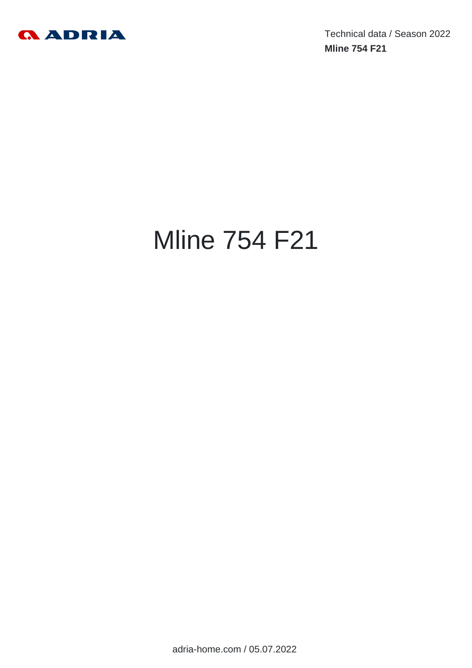

Technical data / Season 2022 **Mline 754 F21**

# Mline 754 F21

adria-home.com / 05.07.2022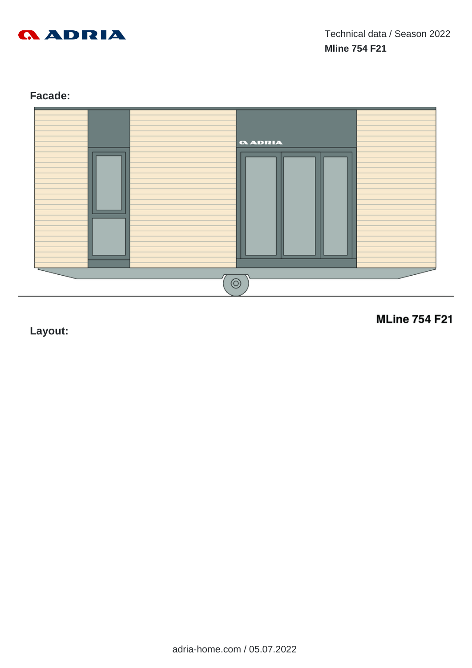

# **Facade:**



**Layout:**

**MLine 754 F21**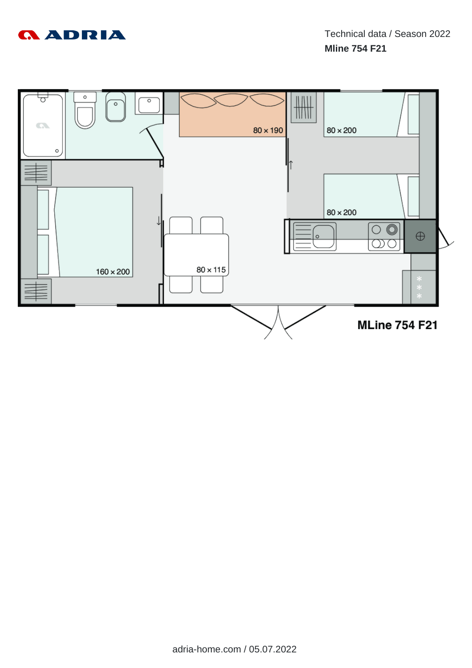

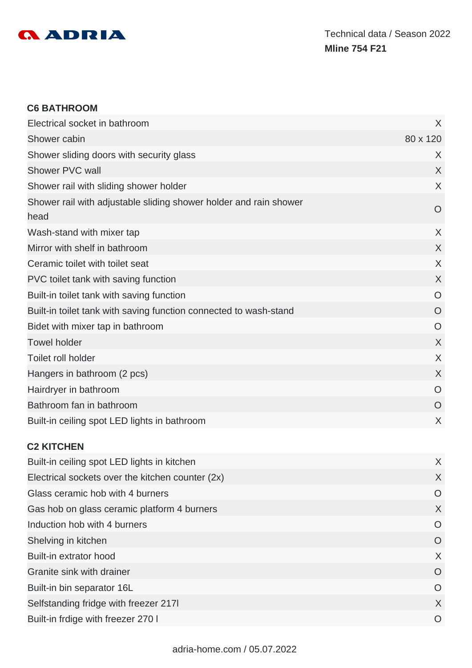

#### **C6 BATHROOM**

| Electrical socket in bathroom                                             | X              |
|---------------------------------------------------------------------------|----------------|
| Shower cabin                                                              | 80 x 120       |
| Shower sliding doors with security glass                                  | X              |
| Shower PVC wall                                                           | X              |
| Shower rail with sliding shower holder                                    | X              |
| Shower rail with adjustable sliding shower holder and rain shower<br>head | $\overline{O}$ |
| Wash-stand with mixer tap                                                 | X              |
| Mirror with shelf in bathroom                                             | $\chi$         |
| Ceramic toilet with toilet seat                                           | X              |
| PVC toilet tank with saving function                                      | X              |
| Built-in toilet tank with saving function                                 | O              |
| Built-in toilet tank with saving function connected to wash-stand         | O              |
| Bidet with mixer tap in bathroom                                          | $\circ$        |
| <b>Towel holder</b>                                                       | $\chi$         |
| <b>Toilet roll holder</b>                                                 | X              |
| Hangers in bathroom (2 pcs)                                               | $\sf X$        |
| Hairdryer in bathroom                                                     | $\circ$        |
| Bathroom fan in bathroom                                                  | O              |
| Built-in ceiling spot LED lights in bathroom                              | X              |

### **C2 KITCHEN**

| Built-in ceiling spot LED lights in kitchen      | X        |
|--------------------------------------------------|----------|
| Electrical sockets over the kitchen counter (2x) | X        |
| Glass ceramic hob with 4 burners                 | O        |
| Gas hob on glass ceramic platform 4 burners      | X        |
| Induction hob with 4 burners                     | O        |
| Shelving in kitchen                              | $\circ$  |
| Built-in extrator hood                           | X        |
| Granite sink with drainer                        | O        |
| Built-in bin separator 16L                       | $\Omega$ |
| Selfstanding fridge with freezer 2171            | X        |
| Built-in frdige with freezer 270 I               | $\Omega$ |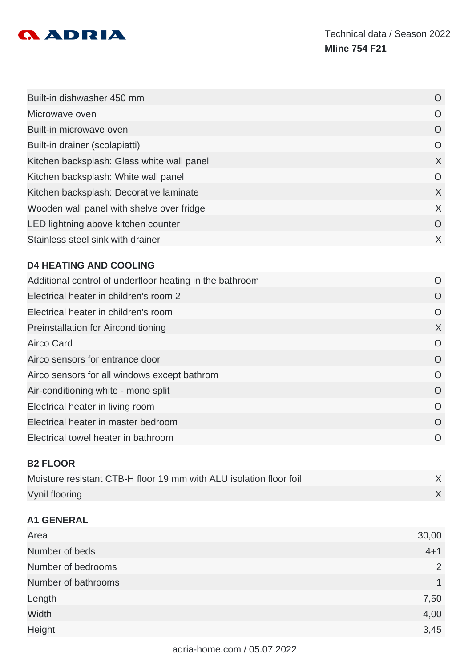

| Built-in dishwasher 450 mm                 | O              |
|--------------------------------------------|----------------|
| Microwave oven                             | O              |
| Built-in microwave oven                    | $\circ$        |
| Built-in drainer (scolapiatti)             | $\overline{O}$ |
| Kitchen backsplash: Glass white wall panel | $\chi$         |
| Kitchen backsplash: White wall panel       | $\overline{O}$ |
| Kitchen backsplash: Decorative laminate    | $\chi$         |
| Wooden wall panel with shelve over fridge  | $\chi$         |
| LED lightning above kitchen counter        | O              |
| Stainless steel sink with drainer          | $\times$       |

# **D4 HEATING AND COOLING**

| Additional control of underfloor heating in the bathroom | O         |
|----------------------------------------------------------|-----------|
| Electrical heater in children's room 2                   | O         |
| Electrical heater in children's room                     | $\Omega$  |
| <b>Preinstallation for Airconditioning</b>               | X         |
| <b>Airco Card</b>                                        | $\Omega$  |
| Airco sensors for entrance door                          | O         |
| Airco sensors for all windows except bathrom             | $\Omega$  |
| Air-conditioning white - mono split                      | O         |
| Electrical heater in living room                         | $\Omega$  |
| Electrical heater in master bedroom                      | $\Omega$  |
| Electrical towel heater in bathroom                      | $\bigcap$ |
|                                                          |           |

### **B2 FLOOR**

| Moisture resistant CTB-H floor 19 mm with ALU isolation floor foil |  |
|--------------------------------------------------------------------|--|
| Vynil flooring                                                     |  |

# **A1 GENERAL**

| Area                | 30,00   |
|---------------------|---------|
| Number of beds      | $4 + 1$ |
| Number of bedrooms  | 2       |
| Number of bathrooms | 1       |
| Length              | 7,50    |
| Width               | 4,00    |
| Height              | 3,45    |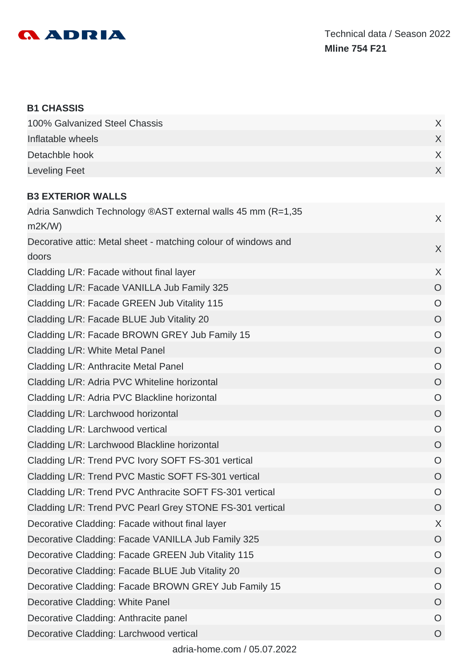

#### **B1 CHASSIS**

| 100% Galvanized Steel Chassis |  |
|-------------------------------|--|
| Inflatable wheels             |  |
| Detachble hook                |  |
| Leveling Feet                 |  |

# **B3 EXTERIOR WALLS**

| Adria Sanwdich Technology ®AST external walls 45 mm (R=1,35<br>m2K/W    | X              |
|-------------------------------------------------------------------------|----------------|
| Decorative attic: Metal sheet - matching colour of windows and<br>doors | X              |
| Cladding L/R: Facade without final layer                                | $\chi$         |
| Cladding L/R: Facade VANILLA Jub Family 325                             | $\overline{O}$ |
| Cladding L/R: Facade GREEN Jub Vitality 115                             | $\circ$        |
| Cladding L/R: Facade BLUE Jub Vitality 20                               | $\overline{O}$ |
| Cladding L/R: Facade BROWN GREY Jub Family 15                           | $\circ$        |
| Cladding L/R: White Metal Panel                                         | $\circ$        |
| Cladding L/R: Anthracite Metal Panel                                    | $\circ$        |
| Cladding L/R: Adria PVC Whiteline horizontal                            | $\circ$        |
| Cladding L/R: Adria PVC Blackline horizontal                            | $\circ$        |
| Cladding L/R: Larchwood horizontal                                      | $\overline{O}$ |
| Cladding L/R: Larchwood vertical                                        | $\overline{O}$ |
| Cladding L/R: Larchwood Blackline horizontal                            | $\overline{O}$ |
| Cladding L/R: Trend PVC Ivory SOFT FS-301 vertical                      | $\circ$        |
| Cladding L/R: Trend PVC Mastic SOFT FS-301 vertical                     | $\overline{O}$ |
| Cladding L/R: Trend PVC Anthracite SOFT FS-301 vertical                 | $\circ$        |
| Cladding L/R: Trend PVC Pearl Grey STONE FS-301 vertical                | $\circ$        |
| Decorative Cladding: Facade without final layer                         | X              |
| Decorative Cladding: Facade VANILLA Jub Family 325                      | O              |
| Decorative Cladding: Facade GREEN Jub Vitality 115                      | $\bigcirc$     |
| Decorative Cladding: Facade BLUE Jub Vitality 20                        | $\circ$        |
| Decorative Cladding: Facade BROWN GREY Jub Family 15                    | O              |
| Decorative Cladding: White Panel                                        | O              |
| Decorative Cladding: Anthracite panel                                   | O              |
| Decorative Cladding: Larchwood vertical                                 | O              |
| adria-home.com / 05.07.2022                                             |                |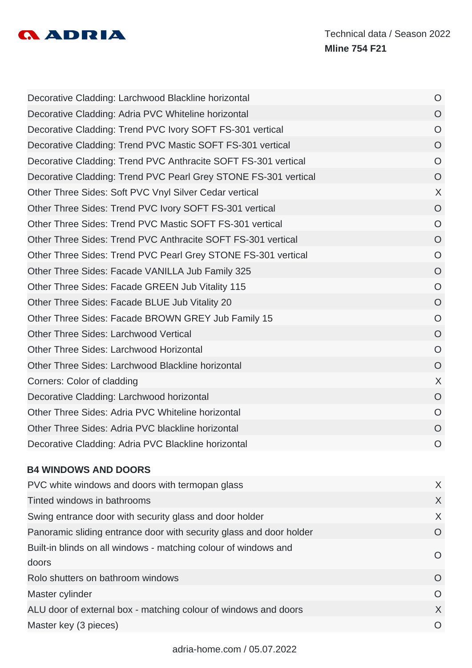

| Decorative Cladding: Larchwood Blackline horizontal             | $\circ$        |
|-----------------------------------------------------------------|----------------|
| Decorative Cladding: Adria PVC Whiteline horizontal             | $\overline{O}$ |
| Decorative Cladding: Trend PVC Ivory SOFT FS-301 vertical       | $\overline{O}$ |
| Decorative Cladding: Trend PVC Mastic SOFT FS-301 vertical      | $\overline{O}$ |
| Decorative Cladding: Trend PVC Anthracite SOFT FS-301 vertical  | $\overline{O}$ |
| Decorative Cladding: Trend PVC Pearl Grey STONE FS-301 vertical | $\overline{O}$ |
| Other Three Sides: Soft PVC Vnyl Silver Cedar vertical          | $\sf X$        |
| Other Three Sides: Trend PVC Ivory SOFT FS-301 vertical         | $\overline{O}$ |
| Other Three Sides: Trend PVC Mastic SOFT FS-301 vertical        | $\overline{O}$ |
| Other Three Sides: Trend PVC Anthracite SOFT FS-301 vertical    | $\overline{O}$ |
| Other Three Sides: Trend PVC Pearl Grey STONE FS-301 vertical   | $\overline{O}$ |
| Other Three Sides: Facade VANILLA Jub Family 325                | $\overline{O}$ |
| Other Three Sides: Facade GREEN Jub Vitality 115                | $\overline{O}$ |
| Other Three Sides: Facade BLUE Jub Vitality 20                  | $\overline{O}$ |
| Other Three Sides: Facade BROWN GREY Jub Family 15              | $\overline{O}$ |
| <b>Other Three Sides: Larchwood Vertical</b>                    | $\circ$        |
| Other Three Sides: Larchwood Horizontal                         | $\overline{O}$ |
| Other Three Sides: Larchwood Blackline horizontal               | $\overline{O}$ |
| Corners: Color of cladding                                      | X              |
| Decorative Cladding: Larchwood horizontal                       | $\overline{O}$ |
| Other Three Sides: Adria PVC Whiteline horizontal               | $\overline{O}$ |
| Other Three Sides: Adria PVC blackline horizontal               | $\overline{O}$ |
| Decorative Cladding: Adria PVC Blackline horizontal             | $\overline{O}$ |

# **B4 WINDOWS AND DOORS**

| PVC white windows and doors with termopan glass                     | $\mathsf{X}$   |
|---------------------------------------------------------------------|----------------|
| Tinted windows in bathrooms                                         | $\mathsf{X}$   |
| Swing entrance door with security glass and door holder             | $\chi$         |
| Panoramic sliding entrance door with security glass and door holder | $\Omega$       |
| Built-in blinds on all windows - matching colour of windows and     | O              |
| doors                                                               |                |
| Rolo shutters on bathroom windows                                   | $\Omega$       |
| Master cylinder                                                     | $\overline{O}$ |
| ALU door of external box - matching colour of windows and doors     | X              |
| Master key (3 pieces)                                               | O              |
|                                                                     |                |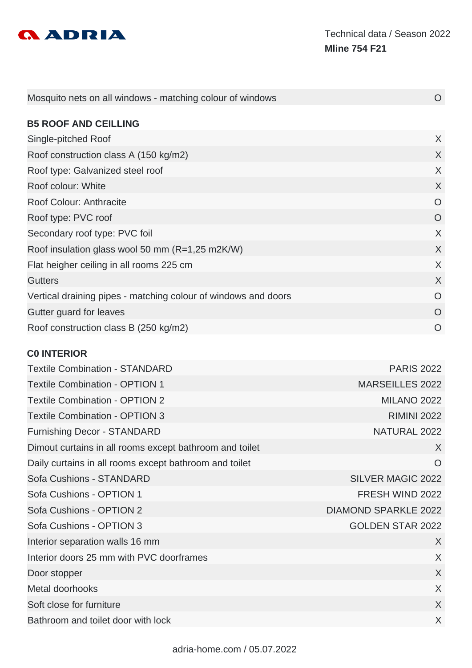

| Mosquito nets on all windows - matching colour of windows      | $\Omega$ |
|----------------------------------------------------------------|----------|
|                                                                |          |
| <b>B5 ROOF AND CEILLING</b>                                    |          |
| Single-pitched Roof                                            | X        |
| Roof construction class A (150 kg/m2)                          | X        |
| Roof type: Galvanized steel roof                               | X        |
| Roof colour: White                                             | X        |
| Roof Colour: Anthracite                                        | $\Omega$ |
| Roof type: PVC roof                                            | $\Omega$ |
| Secondary roof type: PVC foil                                  | X        |
| Roof insulation glass wool 50 mm (R=1,25 m2K/W)                | $\sf X$  |
| Flat heigher ceiling in all rooms 225 cm                       | X        |
| <b>Gutters</b>                                                 | X        |
| Vertical draining pipes - matching colour of windows and doors | $\Omega$ |
| Gutter guard for leaves                                        | $\Omega$ |
| Roof construction class B (250 kg/m2)                          | $\Omega$ |

### **C0 INTERIOR**

| <b>Textile Combination - STANDARD</b>                   | <b>PARIS 2022</b>           |
|---------------------------------------------------------|-----------------------------|
| <b>Textile Combination - OPTION 1</b>                   | <b>MARSEILLES 2022</b>      |
| <b>Textile Combination - OPTION 2</b>                   | <b>MILANO 2022</b>          |
| <b>Textile Combination - OPTION 3</b>                   | <b>RIMINI 2022</b>          |
| <b>Furnishing Decor - STANDARD</b>                      | NATURAL 2022                |
| Dimout curtains in all rooms except bathroom and toilet | X                           |
| Daily curtains in all rooms except bathroom and toilet  | $\circ$                     |
| Sofa Cushions - STANDARD                                | <b>SILVER MAGIC 2022</b>    |
| Sofa Cushions - OPTION 1                                | FRESH WIND 2022             |
| Sofa Cushions - OPTION 2                                | <b>DIAMOND SPARKLE 2022</b> |
| Sofa Cushions - OPTION 3                                | <b>GOLDEN STAR 2022</b>     |
| Interior separation walls 16 mm                         | X                           |
| Interior doors 25 mm with PVC doorframes                | X                           |
| Door stopper                                            | $\sf X$                     |
| Metal doorhooks                                         | X                           |
| Soft close for furniture                                | $\sf X$                     |
| Bathroom and toilet door with lock                      | X                           |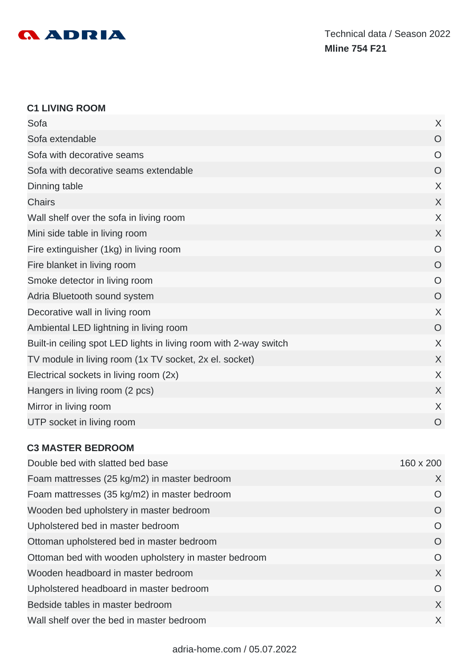

#### **C1 LIVING ROOM**

| Sofa                                                              | X              |
|-------------------------------------------------------------------|----------------|
| Sofa extendable                                                   | O              |
| Sofa with decorative seams                                        | O              |
| Sofa with decorative seams extendable                             | O              |
| Dinning table                                                     | X              |
| <b>Chairs</b>                                                     | X              |
| Wall shelf over the sofa in living room                           | X              |
| Mini side table in living room                                    | X              |
| Fire extinguisher (1kg) in living room                            | $\circ$        |
| Fire blanket in living room                                       | $\overline{O}$ |
| Smoke detector in living room                                     | O              |
| Adria Bluetooth sound system                                      | $\overline{O}$ |
| Decorative wall in living room                                    | X              |
| Ambiental LED lightning in living room                            | $\overline{O}$ |
| Built-in ceiling spot LED lights in living room with 2-way switch | X              |
| TV module in living room (1x TV socket, 2x el. socket)            | X              |
| Electrical sockets in living room (2x)                            | X              |
| Hangers in living room (2 pcs)                                    | X              |
| Mirror in living room                                             | X              |
| UTP socket in living room                                         | $\circ$        |

### **C3 MASTER BEDROOM**

| Double bed with slatted bed base                     | 160 x 200 |
|------------------------------------------------------|-----------|
| Foam mattresses (25 kg/m2) in master bedroom         | X         |
| Foam mattresses (35 kg/m2) in master bedroom         | O         |
| Wooden bed upholstery in master bedroom              | $\Omega$  |
| Upholstered bed in master bedroom                    | $\circ$   |
| Ottoman upholstered bed in master bedroom            | $\circ$   |
| Ottoman bed with wooden upholstery in master bedroom | O         |
| Wooden headboard in master bedroom                   | $\times$  |
| Upholstered headboard in master bedroom              | $\Omega$  |
| Bedside tables in master bedroom                     | X         |
| Wall shelf over the bed in master bedroom            | X         |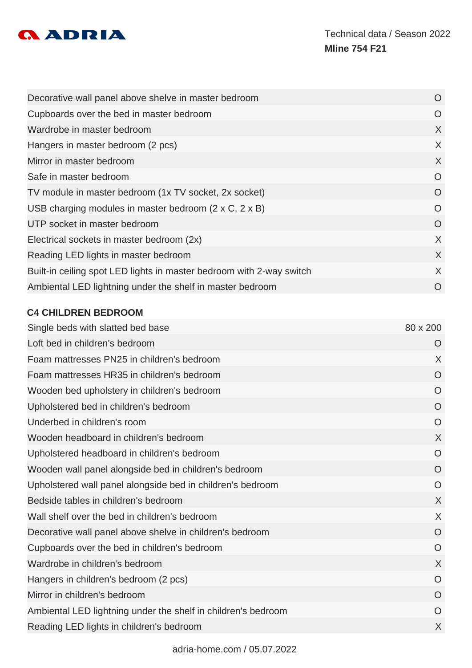

| Decorative wall panel above shelve in master bedroom                 | O        |
|----------------------------------------------------------------------|----------|
| Cupboards over the bed in master bedroom                             | O        |
| Wardrobe in master bedroom                                           | X        |
| Hangers in master bedroom (2 pcs)                                    | X        |
| Mirror in master bedroom                                             | X        |
| Safe in master bedroom                                               | $\Omega$ |
| TV module in master bedroom (1x TV socket, 2x socket)                | O        |
| USB charging modules in master bedroom $(2 \times C, 2 \times B)$    | O        |
| UTP socket in master bedroom                                         | O        |
| Electrical sockets in master bedroom (2x)                            | X        |
| Reading LED lights in master bedroom                                 | X        |
| Built-in ceiling spot LED lights in master bedroom with 2-way switch | X        |
| Ambiental LED lightning under the shelf in master bedroom            | O        |

# **C4 CHILDREN BEDROOM**

| Single beds with slatted bed base                             | 80 x 200       |
|---------------------------------------------------------------|----------------|
| Loft bed in children's bedroom                                | O              |
| Foam mattresses PN25 in children's bedroom                    | X              |
| Foam mattresses HR35 in children's bedroom                    | $\overline{O}$ |
| Wooden bed upholstery in children's bedroom                   | $\circ$        |
| Upholstered bed in children's bedroom                         | $\circ$        |
| Underbed in children's room                                   | $\overline{O}$ |
| Wooden headboard in children's bedroom                        | $\sf X$        |
| Upholstered headboard in children's bedroom                   | $\overline{O}$ |
| Wooden wall panel alongside bed in children's bedroom         | $\overline{O}$ |
| Upholstered wall panel alongside bed in children's bedroom    | $\overline{O}$ |
| Bedside tables in children's bedroom                          | X              |
| Wall shelf over the bed in children's bedroom                 | X              |
| Decorative wall panel above shelve in children's bedroom      | $\overline{O}$ |
| Cupboards over the bed in children's bedroom                  | $\circ$        |
| Wardrobe in children's bedroom                                | X              |
| Hangers in children's bedroom (2 pcs)                         | $\circ$        |
| Mirror in children's bedroom                                  | $\overline{O}$ |
| Ambiental LED lightning under the shelf in children's bedroom | O              |
| Reading LED lights in children's bedroom                      | X              |
|                                                               |                |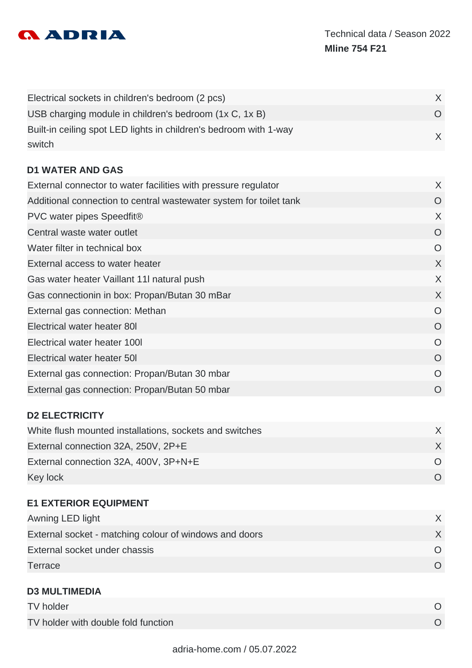

| Electrical sockets in children's bedroom (2 pcs)                  |  |
|-------------------------------------------------------------------|--|
| USB charging module in children's bedroom (1x C, 1x B)            |  |
| Built-in ceiling spot LED lights in children's bedroom with 1-way |  |
| switch                                                            |  |

# **D1 WATER AND GAS**

| External connector to water facilities with pressure regulator     | X        |
|--------------------------------------------------------------------|----------|
| Additional connection to central wastewater system for toilet tank | $\Omega$ |
| PVC water pipes Speedfit®                                          | X        |
| Central waste water outlet                                         | O        |
| Water filter in technical box                                      | O        |
| External access to water heater                                    | X        |
| Gas water heater Vaillant 11I natural push                         | X        |
| Gas connectionin in box: Propan/Butan 30 mBar                      | X        |
| External gas connection: Methan                                    | O        |
| Electrical water heater 80I                                        | O        |
| Electrical water heater 1001                                       | $\Omega$ |
| Electrical water heater 50                                         | O        |
| External gas connection: Propan/Butan 30 mbar                      | $\Omega$ |
| External gas connection: Propan/Butan 50 mbar                      | O        |
|                                                                    |          |

# **D2 ELECTRICITY**

| White flush mounted installations, sockets and switches |  |
|---------------------------------------------------------|--|
| External connection 32A, 250V, 2P+E                     |  |
| External connection 32A, 400V, 3P+N+E                   |  |
| Key lock                                                |  |

| <b>E1 EXTERIOR EQUIPMENT</b>                           |          |
|--------------------------------------------------------|----------|
| Awning LED light                                       | $\chi$   |
| External socket - matching colour of windows and doors | $\chi$   |
| External socket under chassis                          | $\Omega$ |
| Terrace                                                | $\cap$   |
|                                                        |          |

| <b>D3 MULTIMEDIA</b>                |  |
|-------------------------------------|--|
| TV holder                           |  |
| TV holder with double fold function |  |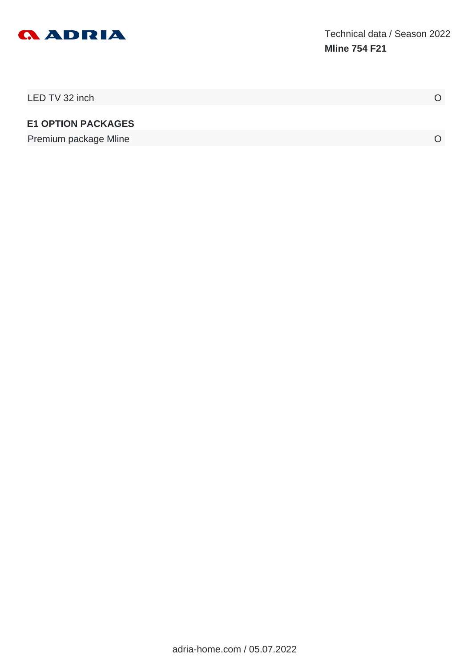

| LED TV 32 inch            |  |
|---------------------------|--|
| <b>E1 OPTION PACKAGES</b> |  |
| Premium package Mline     |  |